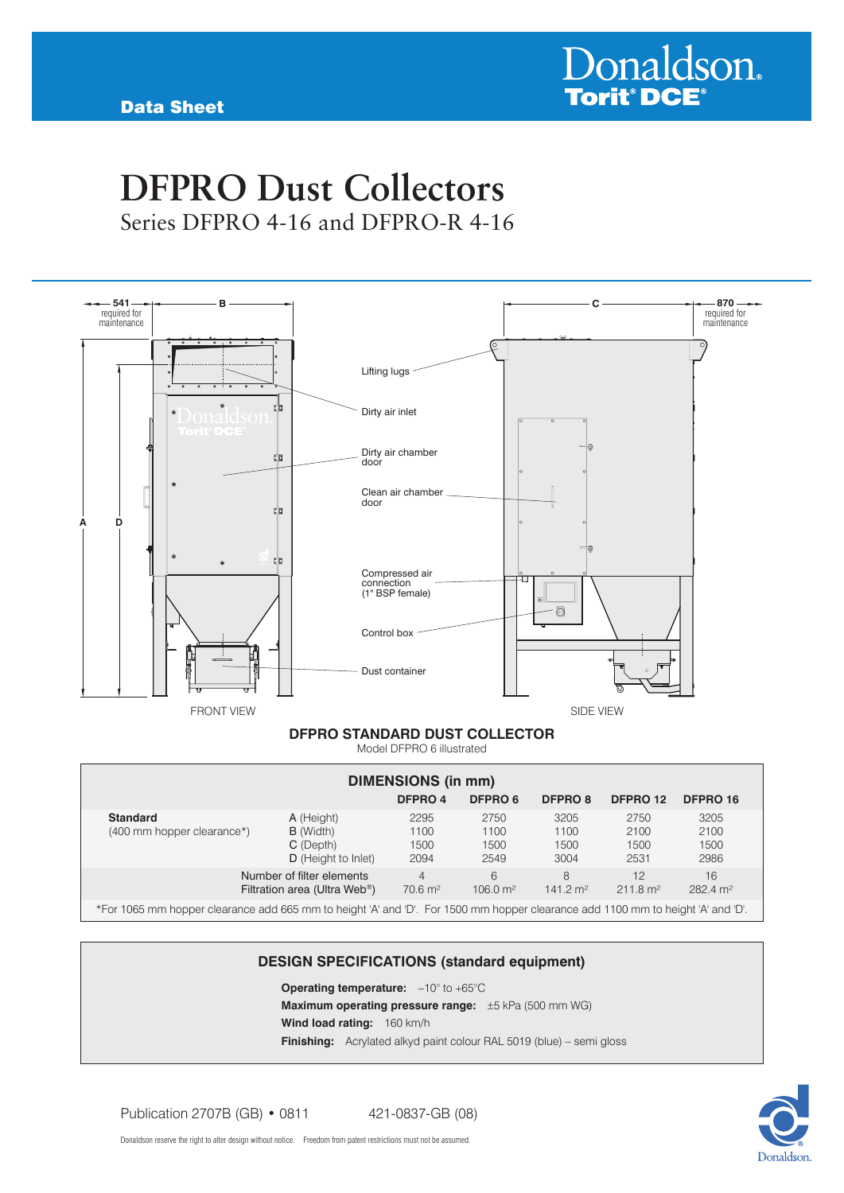# **DFPRO Dust Collectors** Series DFPRO 4-16 and DFPRO-R 4-16



#### **DFPRO Standard dust collector**

Model DFPRO 6 illustrated

| <b>DIMENSIONS (in mm)</b>                                                                                                       |                                                                        |                                      |                              |                              |                              |                              |  |  |  |  |
|---------------------------------------------------------------------------------------------------------------------------------|------------------------------------------------------------------------|--------------------------------------|------------------------------|------------------------------|------------------------------|------------------------------|--|--|--|--|
| DFPRO 4<br>DFPRO 6<br><b>DFPRO 8</b><br>DFPRO 12<br>DFPRO 16                                                                    |                                                                        |                                      |                              |                              |                              |                              |  |  |  |  |
| <b>Standard</b><br>(400 mm hopper clearance*)                                                                                   | A (Height)<br><b>B</b> (Width)<br>C (Depth)<br>D (Height to Inlet)     | 2295<br>1100<br>1500<br>2094         | 2750<br>1100<br>1500<br>2549 | 3205<br>1100<br>1500<br>3004 | 2750<br>2100<br>1500<br>2531 | 3205<br>2100<br>1500<br>2986 |  |  |  |  |
|                                                                                                                                 | Number of filter elements<br>Filtration area (Ultra Web <sup>®</sup> ) | $\overline{4}$<br>$70.6 \text{ m}^2$ | 6<br>$106.0 \text{ m}^2$     | 8<br>$141.2 \text{ m}^2$     | 12<br>$211.8 \text{ m}^2$    | 16<br>282.4 m <sup>2</sup>   |  |  |  |  |
| *For 1065 mm hopper clearance add 665 mm to height 'A' and 'D'. For 1500 mm hopper clearance add 1100 mm to height 'A' and 'D'. |                                                                        |                                      |                              |                              |                              |                              |  |  |  |  |

#### **DESIGN SPECIFICATIONS (standard equipment)**

**Operating temperature:**  $-10^{\circ}$  to +65°C **Maximum operating pressure range:** ±5 kPa (500 mm WG) **Wind load rating:** 160 km/h **Finishing:** Acrylated alkyd paint colour RAL 5019 (blue) – semi gloss

Publication 2707B (GB) • 0811 421-0837-GB (08)

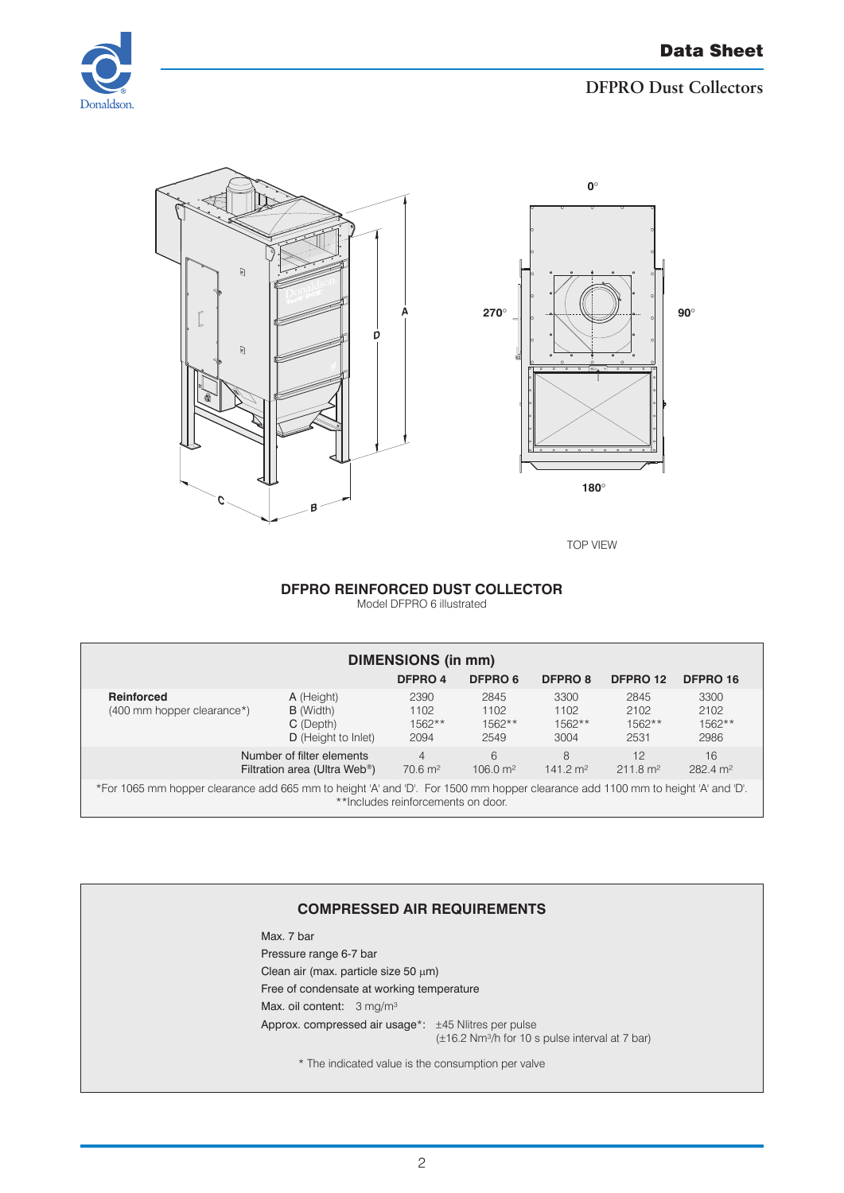





TOP VIEW

#### **DFPRO Reinforced dust collector**

Model DFPRO 6 illustrated

| <b>DIMENSIONS (in mm)</b>                                                                                                                                             |                                                                        |                                      |                                  |                                  |                                  |                                  |  |  |  |  |
|-----------------------------------------------------------------------------------------------------------------------------------------------------------------------|------------------------------------------------------------------------|--------------------------------------|----------------------------------|----------------------------------|----------------------------------|----------------------------------|--|--|--|--|
| DFPRO 16<br>DFPRO 4<br>DFPRO 6<br>DFPRO <sub>8</sub><br>DFPRO 12                                                                                                      |                                                                        |                                      |                                  |                                  |                                  |                                  |  |  |  |  |
| Reinforced<br>(400 mm hopper clearance*)                                                                                                                              | A (Height)<br><b>B</b> (Width)<br>C (Depth)<br>D (Height to Inlet)     | 2390<br>1102<br>$1562**$<br>2094     | 2845<br>1102<br>$1562**$<br>2549 | 3300<br>1102<br>$1562**$<br>3004 | 2845<br>2102<br>$1562**$<br>2531 | 3300<br>2102<br>$1562**$<br>2986 |  |  |  |  |
|                                                                                                                                                                       | Number of filter elements<br>Filtration area (Ultra Web <sup>®</sup> ) | $\overline{4}$<br>$70.6 \text{ m}^2$ | 6<br>$106.0 \text{ m}^2$         | 8<br>$141.2 \text{ m}^2$         | 12<br>$211.8 \text{ m}^2$        | 16<br>$282.4 \text{ m}^2$        |  |  |  |  |
| *For 1065 mm hopper clearance add 665 mm to height 'A' and 'D'. For 1500 mm hopper clearance add 1100 mm to height 'A' and 'D'.<br>**Includes reinforcements on door. |                                                                        |                                      |                                  |                                  |                                  |                                  |  |  |  |  |

#### **COMPRESSED AIR REQUIREMENTS**

Max. 7 bar Pressure range 6-7 bar Clean air (max. particle size 50 µm) Free of condensate at working temperature Max. oil content: 3 mg/m<sup>3</sup> Approx. compressed air usage\*: ±45 Nlitres per pulse (±16.2 Nm³/h for 10 s pulse interval at 7 bar)

\* The indicated value is the consumption per valve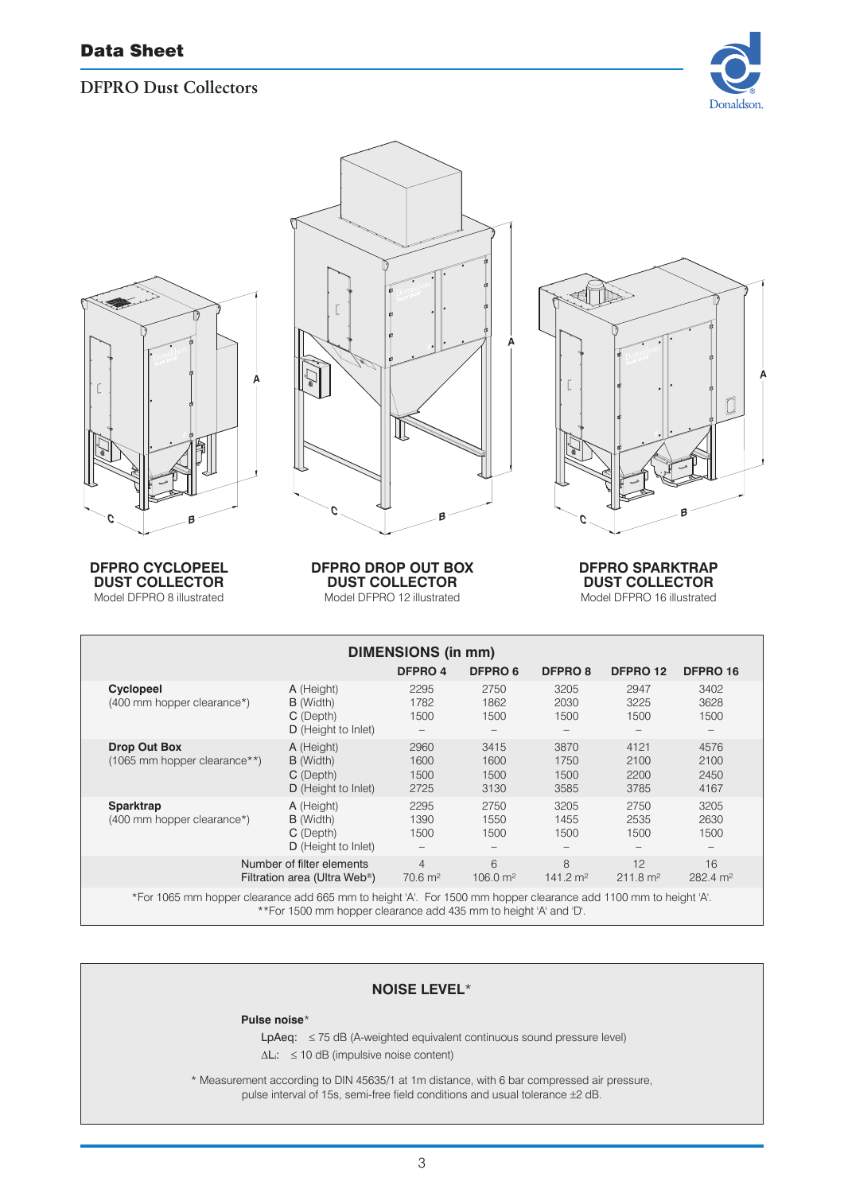



**DFPRO Cyclopeel dust collector** Model DFPRO 8 illustrated



**DFPRO Drop Out Box dust collector** Model DFPRO 12 illustrated

TAS -**A** ſ Ő **BC**

> **DFPRO SparkTrap dust collector** Model DFPRO 16 illustrated

| <b>DIMENSIONS (in mm)</b>                                                                                       |                                                                        |                                      |                              |                              |                              |                              |  |  |  |
|-----------------------------------------------------------------------------------------------------------------|------------------------------------------------------------------------|--------------------------------------|------------------------------|------------------------------|------------------------------|------------------------------|--|--|--|
|                                                                                                                 |                                                                        | DFPRO 4                              | DFPRO 6                      | <b>DFPRO 8</b>               | DFPRO 12                     | <b>DFPRO 16</b>              |  |  |  |
| Cyclopeel<br>(400 mm hopper clearance*)                                                                         | A (Height)<br><b>B</b> (Width)<br>C (Depth)<br>D (Height to Inlet)     | 2295<br>1782<br>1500<br>-            | 2750<br>1862<br>1500         | 3205<br>2030<br>1500         | 2947<br>3225<br>1500         | 3402<br>3628<br>1500         |  |  |  |
| <b>Drop Out Box</b><br>(1065 mm hopper clearance**)                                                             | A (Height)<br><b>B</b> (Width)<br>C (Depth)<br>D (Height to Inlet)     | 2960<br>1600<br>1500<br>2725         | 3415<br>1600<br>1500<br>3130 | 3870<br>1750<br>1500<br>3585 | 4121<br>2100<br>2200<br>3785 | 4576<br>2100<br>2450<br>4167 |  |  |  |
| Sparktrap<br>(400 mm hopper clearance*)                                                                         | A (Height)<br><b>B</b> (Width)<br>C (Depth)<br>D (Height to Inlet)     | 2295<br>1390<br>1500                 | 2750<br>1550<br>1500         | 3205<br>1455<br>1500         | 2750<br>2535<br>1500         | 3205<br>2630<br>1500         |  |  |  |
|                                                                                                                 | Number of filter elements<br>Filtration area (Ultra Web <sup>®</sup> ) | $\overline{4}$<br>$70.6 \text{ m}^2$ | 6<br>$106.0 \text{ m}^2$     | 8<br>$141.2 \text{ m}^2$     | 12<br>$211.8 \text{ m}^2$    | 16<br>$282.4 \text{ m}^2$    |  |  |  |
| *For 1065 mm hopper clearance add 665 mm to height 'A'. For 1500 mm hopper clearance add 1100 mm to height 'A'. |                                                                        |                                      |                              |                              |                              |                              |  |  |  |

\*\*For 1500 mm hopper clearance add 435 mm to height 'A' and 'D'.

### **NOISE LEVEL**\*

#### **Pulse noise**\*

LpAeq: ≤ 75 dB (A-weighted equivalent continuous sound pressure level)

∆Li: ≤ 10 dB (impulsive noise content)

\* Measurement according to DIN 45635/1 at 1m distance, with 6 bar compressed air pressure, pulse interval of 15s, semi-free field conditions and usual tolerance ±2 dB.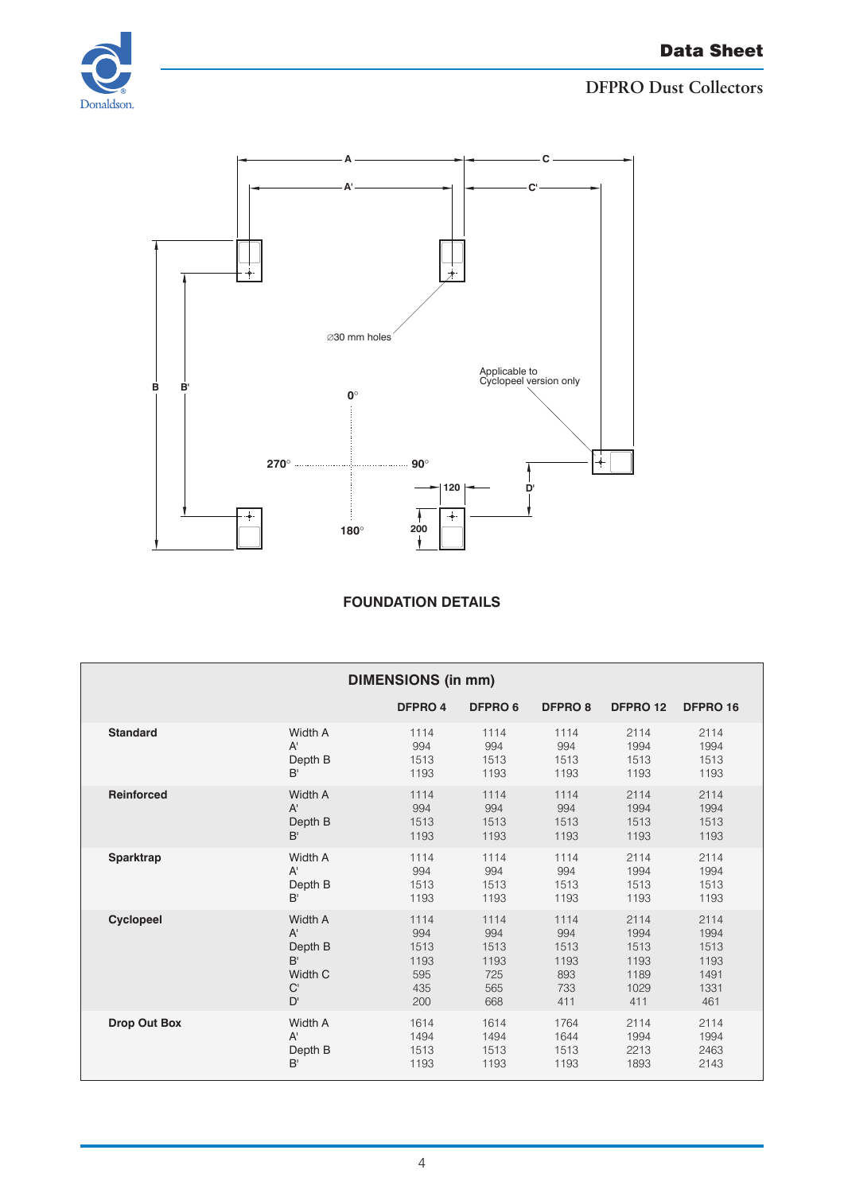



## **Foundation details**

| <b>DIMENSIONS (in mm)</b> |              |         |         |                |          |          |  |
|---------------------------|--------------|---------|---------|----------------|----------|----------|--|
|                           |              | DFPRO 4 | DFPRO 6 | <b>DFPRO 8</b> | DFPRO 12 | DFPRO 16 |  |
| <b>Standard</b>           | Width A      | 1114    | 1114    | 1114           | 2114     | 2114     |  |
|                           | $A^{\prime}$ | 994     | 994     | 994            | 1994     | 1994     |  |
|                           | Depth B      | 1513    | 1513    | 1513           | 1513     | 1513     |  |
|                           | B'           | 1193    | 1193    | 1193           | 1193     | 1193     |  |
| <b>Reinforced</b>         | Width A      | 1114    | 1114    | 1114           | 2114     | 2114     |  |
|                           | $A^{\prime}$ | 994     | 994     | 994            | 1994     | 1994     |  |
|                           | Depth B      | 1513    | 1513    | 1513           | 1513     | 1513     |  |
|                           | B'           | 1193    | 1193    | 1193           | 1193     | 1193     |  |
| Sparktrap                 | Width A      | 1114    | 1114    | 1114           | 2114     | 2114     |  |
|                           | $A^{\prime}$ | 994     | 994     | 994            | 1994     | 1994     |  |
|                           | Depth B      | 1513    | 1513    | 1513           | 1513     | 1513     |  |
|                           | B'           | 1193    | 1193    | 1193           | 1193     | 1193     |  |
| <b>Cyclopeel</b>          | Width A      | 1114    | 1114    | 1114           | 2114     | 2114     |  |
|                           | $A^{\prime}$ | 994     | 994     | 994            | 1994     | 1994     |  |
|                           | Depth B      | 1513    | 1513    | 1513           | 1513     | 1513     |  |
|                           | B'           | 1193    | 1193    | 1193           | 1193     | 1193     |  |
|                           | Width C      | 595     | 725     | 893            | 1189     | 1491     |  |
|                           | C            | 435     | 565     | 733            | 1029     | 1331     |  |
|                           | D'           | 200     | 668     | 411            | 411      | 461      |  |
| <b>Drop Out Box</b>       | Width A      | 1614    | 1614    | 1764           | 2114     | 2114     |  |
|                           | $A^{\prime}$ | 1494    | 1494    | 1644           | 1994     | 1994     |  |
|                           | Depth B      | 1513    | 1513    | 1513           | 2213     | 2463     |  |
|                           | B'           | 1193    | 1193    | 1193           | 1893     | 2143     |  |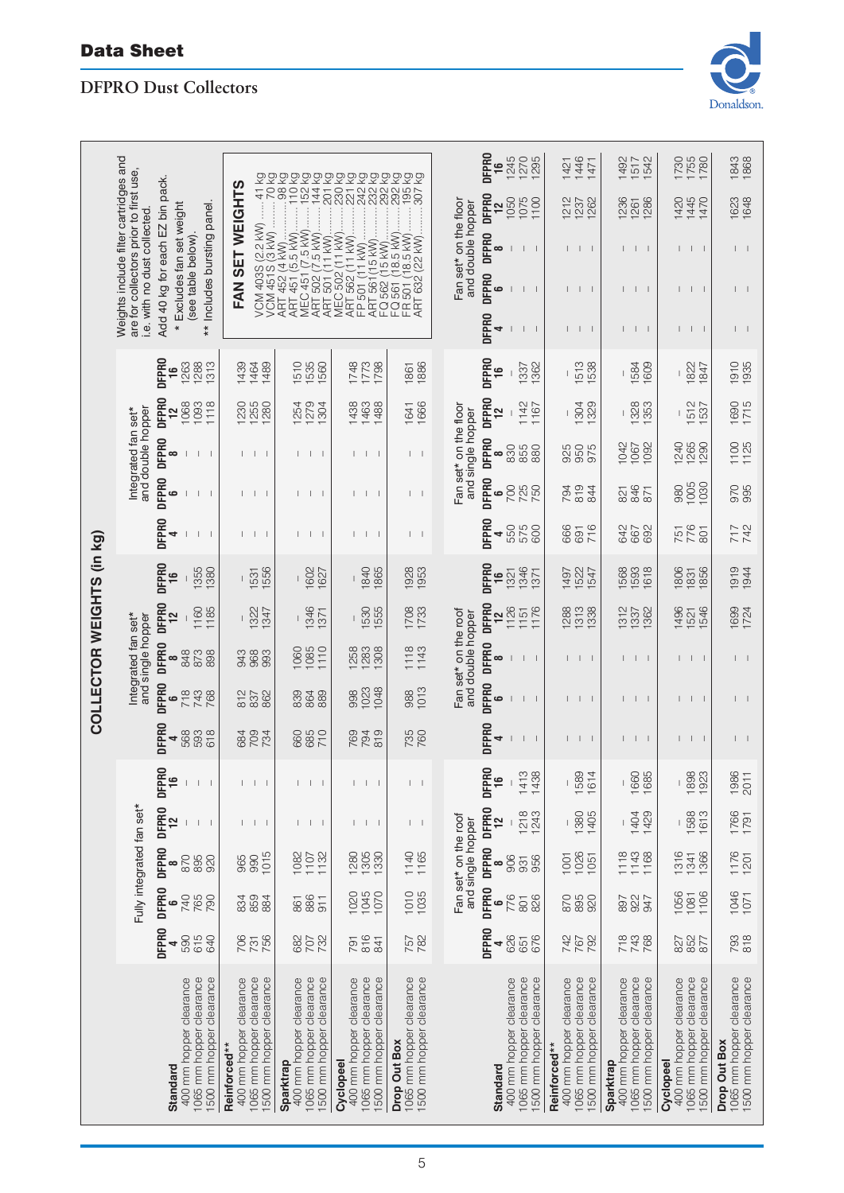# Data Sheet

# **DFPRO Dust Collectors**



|                                 |                                                                                                                |                                                                                             |                                                                                                                                                                                                                 | 533533535553                                                                                 |                                                                                              | <u> රි රි රි</u>                                                            | <b>DFPRO</b><br>1245<br>1270<br>1295<br>$\frac{6}{5}$                                            | 1446<br>1421<br>1471                                                                            | 1492<br>1542<br>1517                                                                         | 1730<br>1755<br>1780                                                                         | 1843<br>1868                                                         |
|---------------------------------|----------------------------------------------------------------------------------------------------------------|---------------------------------------------------------------------------------------------|-----------------------------------------------------------------------------------------------------------------------------------------------------------------------------------------------------------------|----------------------------------------------------------------------------------------------|----------------------------------------------------------------------------------------------|-----------------------------------------------------------------------------|--------------------------------------------------------------------------------------------------|-------------------------------------------------------------------------------------------------|----------------------------------------------------------------------------------------------|----------------------------------------------------------------------------------------------|----------------------------------------------------------------------|
| Add 40 kg for each EZ bin pack. |                                                                                                                |                                                                                             | 232<br>292<br>2921<br>195<br>$\overline{C}$<br>98<br>$\frac{1}{10}$<br>152<br>230<br>242<br>307<br>144<br>221<br>$-201$<br>$-41$<br>VCM 403S (2.2 kW)<br>VCM 451 S (3 kW)<br>ART 452 (4 kW)<br>ART 451 (5.5 kW) |                                                                                              |                                                                                              | DFPRO<br>1050<br>1075<br>1100<br>$\frac{2}{1}$                              | 1212<br>1262<br>1237                                                                             | 1236<br>1286<br>1261                                                                            | 1420<br>1445<br>1470                                                                         | 1623<br>1648                                                                                 |                                                                      |
|                                 | Weights include filter cartridges and<br>are for collectors prior to first use,<br>i.e. with no dust collected | ** Includes bursting panel.<br>* Excludes fan set weight                                    | SET WEIGHTS                                                                                                                                                                                                     | MEC 451 (7.5 kW)<br>ART 502 (7.5 kW)<br>ART 501 (11 kW)                                      | FC 562 (15 kW)<br>FC 561 (18.5 kW)<br>FR 501 (18.5 kW).                                      |                                                                             | Fan set* on the floor<br>and double hopper<br><b>DFPRO</b><br>$\infty$<br>$\mathsf{I}$           | $\perp$                                                                                         | $\perp$                                                                                      | $\perp$                                                                                      |                                                                      |
|                                 |                                                                                                                | (see table below).                                                                          | FAN                                                                                                                                                                                                             |                                                                                              | MEC 502 (11 kW).<br>ART 562 (11 kW).<br>ART 561 (15 kW)<br>FP 501 (11 kW)                    | FR 501 (18.5 kW)<br>ART 632 (22 kW)                                         | <b>DFPRO</b><br>$\mathbf{c}$<br>$\perp$                                                          | $\perp$                                                                                         | $\perp$                                                                                      | $\Box$                                                                                       |                                                                      |
|                                 |                                                                                                                |                                                                                             |                                                                                                                                                                                                                 |                                                                                              |                                                                                              |                                                                             | <b>DFPRO</b><br>4<br>$\perp$                                                                     | $\mathbf{L}$<br>$\perp$                                                                         | $\perp$                                                                                      | - 11                                                                                         |                                                                      |
|                                 | <b>DFPRO</b>                                                                                                   | 1263<br>1288<br>1313<br>$\frac{6}{5}$                                                       | 1439<br>1464<br>1489                                                                                                                                                                                            | 1510<br>1535<br>1560                                                                         | 1748<br>1773<br>1798                                                                         | 1886<br>1861                                                                | <b>DFPRO</b><br>1337<br>1362<br>$\frac{6}{1}$                                                    | 1513<br>538                                                                                     | 609<br>1584                                                                                  | 1822<br>847                                                                                  | 1910<br>1935                                                         |
|                                 | DFPRO                                                                                                          | 1068<br>1093<br>1118<br>12                                                                  | 1230<br>1255<br>1280                                                                                                                                                                                            | 279<br>304<br>1254                                                                           | 1463<br>1488<br>1438                                                                         | 1666<br>1641                                                                | <b>DFPRO</b><br>1142<br>1167<br>12                                                               | 1304<br>329                                                                                     | 1328<br>353                                                                                  | 1512<br>537                                                                                  | 1690<br>1715                                                         |
|                                 | Integrated fan set*<br>and double hopper<br>DFPR0                                                              | $\infty$<br>$\mathbb{L}$                                                                    | $\perp$                                                                                                                                                                                                         | $1 \quad 1 \quad 1$                                                                          | $\mathbf{1}$<br>$\Box$                                                                       | $\perp$                                                                     | Fan set* on the floor<br>and single hopper<br><b>DFPRO</b><br>830<br>855<br>880<br>∞             | 950<br>925<br>975                                                                               | 1042<br>1092<br>1067                                                                         | 1240<br>1265<br>1290                                                                         | 1100<br>1125                                                         |
|                                 | <b>DFPRO</b>                                                                                                   | ه                                                                                           | $\perp$                                                                                                                                                                                                         | $\perp$<br>$\overline{1}$                                                                    | $\perp$                                                                                      | $\perp$                                                                     | <b>DFPRO</b><br>700<br>725<br>ڡ                                                                  | 794<br>819<br>844                                                                               | 846<br>871<br>821                                                                            | 1005<br>1030<br>980                                                                          | 070<br>995                                                           |
|                                 | <b>DFPRO</b>                                                                                                   | 4<br>$\mathbf{I}$                                                                           | $\mathbf{I}$                                                                                                                                                                                                    | - 1<br>- 1                                                                                   | Т.<br>$\Box$                                                                                 | $\vert \ \ \vert$                                                           | DFPRO<br>550<br>575<br>600<br>4                                                                  | 666<br>716<br>691                                                                               | 642<br>692<br>667                                                                            | 776<br>801<br>751                                                                            | 742<br>717                                                           |
| COLLECTOR WEIGHTS (in kg)       | <b>DFPRO</b>                                                                                                   | 1355<br>1380<br>$\frac{6}{1}$                                                               | 1556<br>1531                                                                                                                                                                                                    | 1602<br>1627                                                                                 | 1840<br>1865                                                                                 | 1928<br>1953                                                                | <b>DFPRO</b><br>1346<br>1371<br>1321<br>$\frac{6}{1}$                                            | 1522<br>1547<br>1497                                                                            | 1568<br>1593<br>1618                                                                         | 1806<br>1856<br>1831                                                                         | 1919<br>1944                                                         |
|                                 | DFPR <sub>0</sub>                                                                                              | 1185<br>1160<br>12                                                                          | 1322<br>1347                                                                                                                                                                                                    | 1346<br>1371                                                                                 | 1530<br>1555                                                                                 | 1708                                                                        | <b>DFPRO</b><br>1126<br>1151<br>1176<br><u>인</u>                                                 | 1288<br>1313<br>1338                                                                            | 1312<br>1362<br>1337                                                                         | 1496<br>1546<br>1521                                                                         | 1699<br>1724                                                         |
|                                 | Integrated fan set*<br>and single hopper<br><b>DFPRO</b>                                                       | 848<br>873<br>898<br>$\infty$                                                               | 968<br>993<br>943                                                                                                                                                                                               | 1085<br>1110<br>1060                                                                         | 1283<br>1308<br>258                                                                          | $1118$<br>$1143$                                                            | Fan set* on the roof<br>and double hopper<br><b>DFPRO</b><br>$\infty$<br>$\perp$<br>$\mathbf{L}$ | $\perp$<br>$\mathbf{L}$                                                                         | $\mathbb{L}$                                                                                 | $\Box$                                                                                       |                                                                      |
|                                 | <b>DFPRO</b>                                                                                                   | 718<br>743<br>768<br>6                                                                      | 862<br>812<br>837                                                                                                                                                                                               | 889<br>839<br>864                                                                            | 1023<br>1048<br>998                                                                          | 1013<br>988                                                                 | <b>DFPRO</b><br>ه<br>$\mathbf{I}$                                                                | $\perp$                                                                                         | $\perp$                                                                                      | $\perp$                                                                                      |                                                                      |
|                                 | <b>DFPRO</b>                                                                                                   | 568<br>593<br>618<br>4                                                                      | 709<br>734<br>684                                                                                                                                                                                               | 710<br>660<br>685                                                                            | 794<br>819<br>769                                                                            | 735                                                                         | <b>DFPRO</b><br>4<br>$\mathbf{I}$<br>$\mathsf{L}$                                                | $\vert \ \ \vert$<br>$\mathbf{I}$                                                               | $\vert \ \ \vert$                                                                            | $\perp$                                                                                      |                                                                      |
|                                 | <b>DFPRO</b>                                                                                                   |                                                                                             |                                                                                                                                                                                                                 |                                                                                              |                                                                                              |                                                                             | <b>Qd</b><br>1413<br>1438<br>몸<br>$\mathbf{I}$<br>ᆕ                                              | 1589<br>1614                                                                                    | 1660<br>1685<br>I                                                                            | 1898<br>1923                                                                                 | 1986<br>201                                                          |
|                                 | <b>DFPRO</b>                                                                                                   | 12<br>$\overline{\phantom{a}}$                                                              | - 1                                                                                                                                                                                                             | $\Box$<br>- 1                                                                                | т.<br>L<br>- 1                                                                               | $\vert \ \ \vert$                                                           | DFPR0<br>$1218$<br>$1243$<br>12                                                                  | 1380<br>1405                                                                                    | 1404<br>1429                                                                                 | 1588<br>1613                                                                                 | 1766<br>1791                                                         |
|                                 | Fully integrated fan set*<br><b>DFPRO</b>                                                                      | 870<br>895<br>920<br>$\infty$                                                               | 1015<br>965<br>990                                                                                                                                                                                              | 1132<br>1082<br>1107                                                                         | 1305<br>1330<br>1280                                                                         | 1140<br>1165                                                                | Fan set* on the roof<br>and single hopper<br>DFPRO<br>906<br>956<br>931<br>∞                     | 1026<br>1001<br>1051                                                                            | 1143<br>1118<br>1168                                                                         | 1316<br>1366<br>1341                                                                         | 1176<br>1201                                                         |
|                                 | DFPR0                                                                                                          | 740<br>765<br>790<br>ڡ                                                                      | 859<br>834<br>884                                                                                                                                                                                               | 886<br>911<br>861                                                                            | 1020<br>1045<br>1070                                                                         | 1010<br>1035                                                                | <b>DFPRO</b><br>776<br>826<br>801<br>$\bullet$                                                   | 870<br>895<br>920                                                                               | 927<br>947<br>897                                                                            | 1056<br>1106<br>1081                                                                         | 1046<br>1071                                                         |
|                                 | <b>DFPRO</b>                                                                                                   | 590<br>615<br>640<br>4                                                                      | 706<br>731<br>756                                                                                                                                                                                               | 707<br>732<br>682                                                                            | 816<br>841<br>791                                                                            | 757<br>782                                                                  | <b>DFPRO</b><br>626<br>651<br>676<br>4                                                           | 747<br>767<br>792                                                                               | 718<br>743<br>768                                                                            | 852<br>877<br>827                                                                            | 793<br>818                                                           |
|                                 |                                                                                                                | 400 mm hopper clearance<br>1065 mm hopper clearance<br>1500 mm hopper clearance<br>Standard | 400 mm hopper clearance<br>1065 mm hopper clearance<br>1500 mm hopper clearance<br>Reinforced**                                                                                                                 | 1500 mm hopper clearance<br>400 mm hopper clearance<br>1065 mm hopper clearance<br>Sparktrap | 1065 mm hopper clearance<br>1500 mm hopper clearance<br>400 mm hopper clearance<br>Cyclopeel | 1065 mm hopper clearance<br>1500 mm hopper clearance<br><b>Drop Out Box</b> | 1065 mm hopper clearance<br>1500 mm hopper clearance<br>400 mm hopper clearance<br>Standard      | 400 mm hopper clearance<br>1065 mm hopper clearance<br>1500 mm hopper clearance<br>Reinforced** | 400 mm hopper clearance<br>1065 mm hopper clearance<br>1500 mm hopper clearance<br>Sparktrap | 400 mm hopper clearance<br>1065 mm hopper clearance<br>1500 mm hopper clearance<br>Cyclopeel | 1065 mm hopper clearance<br>1500 mm hopper clearance<br>Drop Out Box |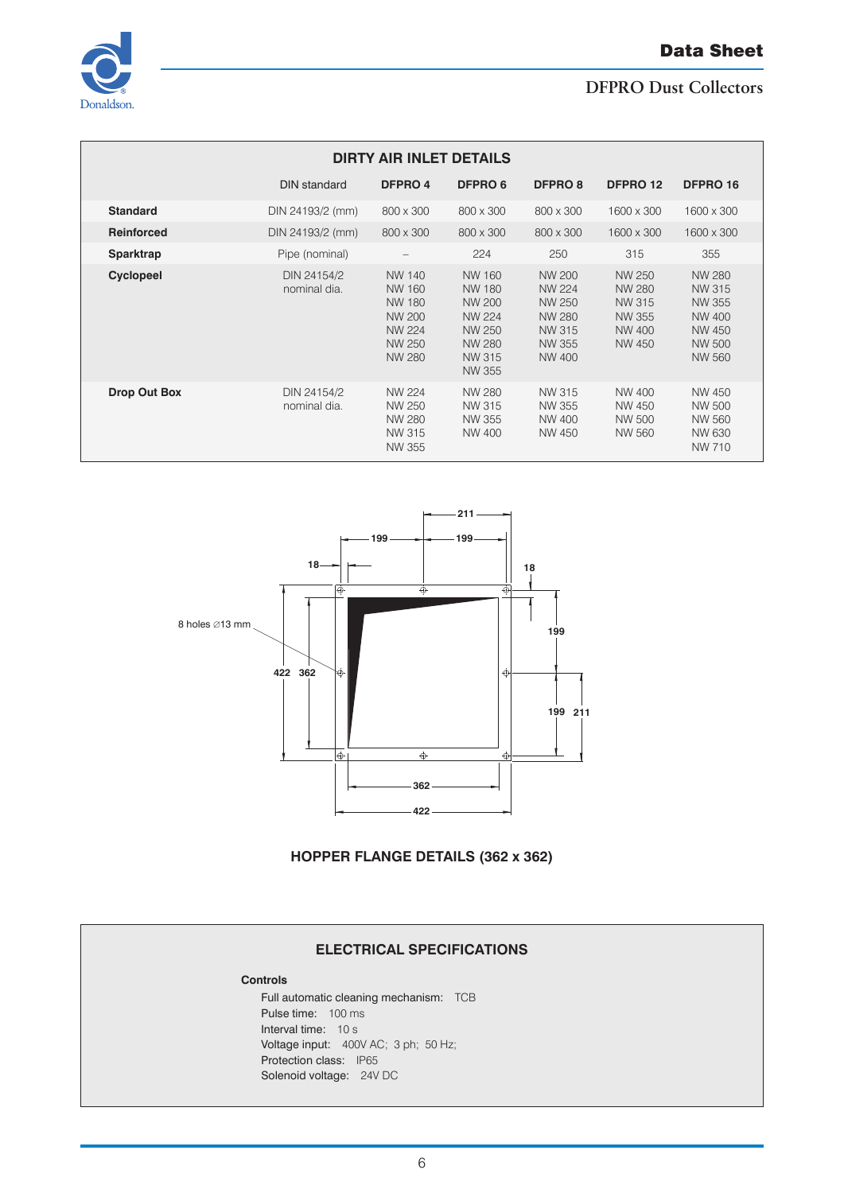#### Data Sheet



## **DFPRO Dust Collectors**

| <b>DIRTY AIR INLET DETAILS</b> |                             |                                                                                                |                                                                                                          |                                                                                                       |                                                                 |                                                                                                |  |  |  |  |
|--------------------------------|-----------------------------|------------------------------------------------------------------------------------------------|----------------------------------------------------------------------------------------------------------|-------------------------------------------------------------------------------------------------------|-----------------------------------------------------------------|------------------------------------------------------------------------------------------------|--|--|--|--|
|                                | <b>DIN standard</b>         | DFPRO 4                                                                                        | <b>DFPRO 6</b>                                                                                           | <b>DFPRO 8</b>                                                                                        | DFPRO 12                                                        | DFPRO 16                                                                                       |  |  |  |  |
| <b>Standard</b>                | DIN 24193/2 (mm)            | 800 x 300                                                                                      | 800 x 300                                                                                                | 800 x 300                                                                                             | 1600 x 300                                                      | 1600 x 300                                                                                     |  |  |  |  |
| <b>Reinforced</b>              | DIN 24193/2 (mm)            | 800 x 300                                                                                      | 800 x 300                                                                                                | 800 x 300                                                                                             | 1600 x 300                                                      | 1600 x 300                                                                                     |  |  |  |  |
| Sparktrap                      | Pipe (nominal)              | $\qquad \qquad -$                                                                              | 224                                                                                                      | 250                                                                                                   | 315                                                             | 355                                                                                            |  |  |  |  |
| <b>Cyclopeel</b>               | DIN 24154/2<br>nominal dia. | <b>NW 140</b><br><b>NW 160</b><br><b>NW 180</b><br>NW 200<br><b>NW 224</b><br>NW 250<br>NW 280 | NW 160<br><b>NW 180</b><br><b>NW 200</b><br><b>NW 224</b><br><b>NW 250</b><br>NW 280<br>NW 315<br>NW 355 | NW 200<br><b>NW 224</b><br><b>NW 250</b><br><b>NW 280</b><br><b>NW 315</b><br>NW 355<br><b>NW 400</b> | NW 250<br>NW 280<br>NW 315<br>NW 355<br><b>NW 400</b><br>NW 450 | NW 280<br><b>NW 315</b><br><b>NW 355</b><br>NW 400<br>NW 450<br><b>NW 500</b><br><b>NW 560</b> |  |  |  |  |
| <b>Drop Out Box</b>            | DIN 24154/2<br>nominal dia. | NW 224<br><b>NW 250</b><br>NW 280<br>NW 315<br>NW 355                                          | NW 280<br>NW 315<br>NW 355<br>NW 400                                                                     | <b>NW 315</b><br>NW 355<br>NW 400<br><b>NW 450</b>                                                    | NW 400<br>NW 450<br>NW 500<br>NW 560                            | NW 450<br><b>NW 500</b><br>NW 560<br>NW 630<br><b>NW 710</b>                                   |  |  |  |  |



# **Hopper flange details (362 x 362)**

## **ELECTRICAL SPECIFICATIONS**

#### **Controls**

Full automatic cleaning mechanism: TCB Pulse time: 100 ms Interval time: 10 s Voltage input: 400V AC; 3 ph; 50 Hz; Protection class: IP65 Solenoid voltage: 24V DC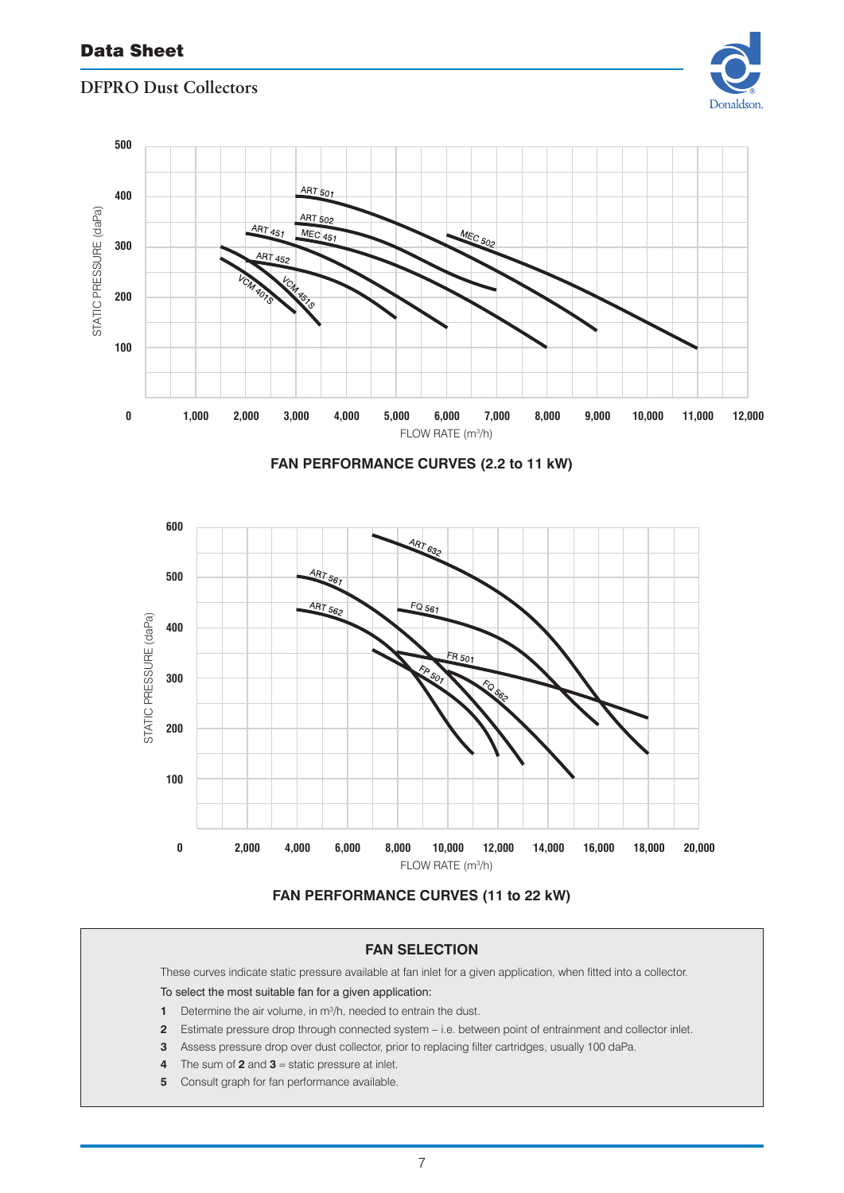



#### **FAN SELECTION**

These curves indicate static pressure available at fan inlet for a given application, when fitted into a collector.

### To select the most suitable fan for a given application:

- Determine the air volume, in m3 /h, needed to entrain the dust.
- Estimate pressure drop through connected system − i.e. between point of entrainment and collector inlet.
- Assess pressure drop over dust collector, prior to replacing filter cartridges, usually 100 daPa.
- The sum of **2** and **3** = static pressure at inlet.
- Consult graph for fan performance available.